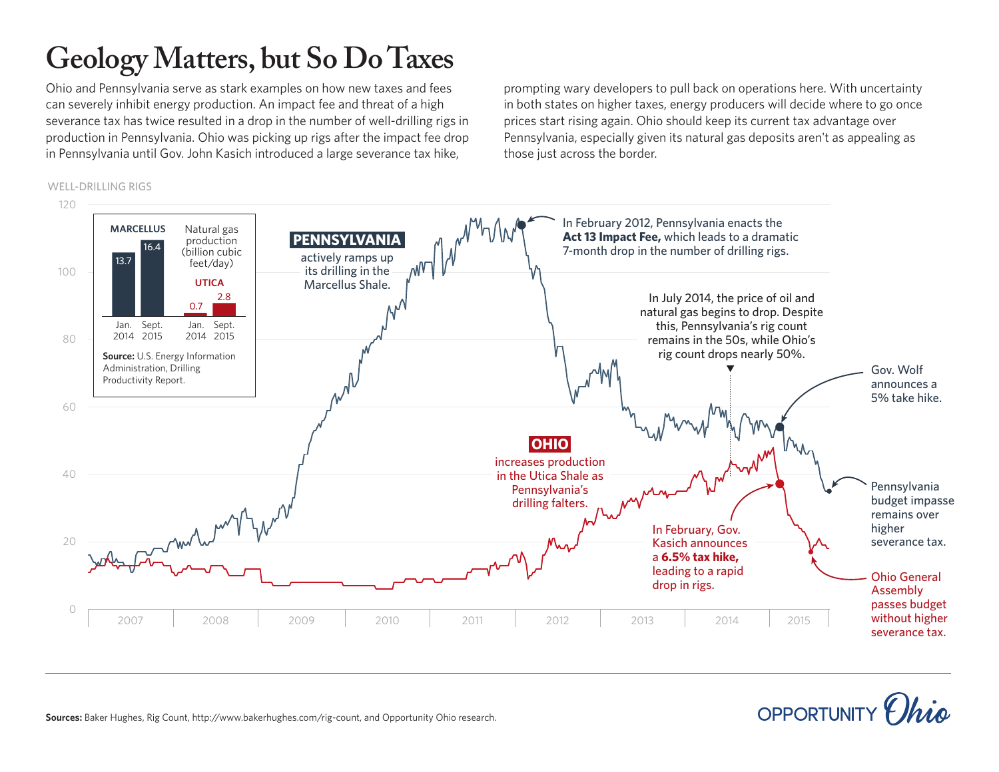## **Geology Matters, but So Do Taxes**

Ohio and Pennsylvania serve as stark examples on how new taxes and fees can severely inhibit energy production. An impact fee and threat of a high severance tax has twice resulted in a drop in the number of well-drilling rigs in production in Pennsylvania. Ohio was picking up rigs after the impact fee drop in Pennsylvania until Gov. John Kasich introduced a large severance tax hike,

prompting wary developers to pull back on operations here. With uncertainty in both states on higher taxes, energy producers will decide where to go once prices start rising again. Ohio should keep its current tax advantage over Pennsylvania, especially given its natural gas deposits aren't as appealing as those just across the border.



## OPPORTUNITY

**Sources:** Baker Hughes, Rig Count, http://www.bakerhughes.com/rig-count, and Opportunity Ohio research.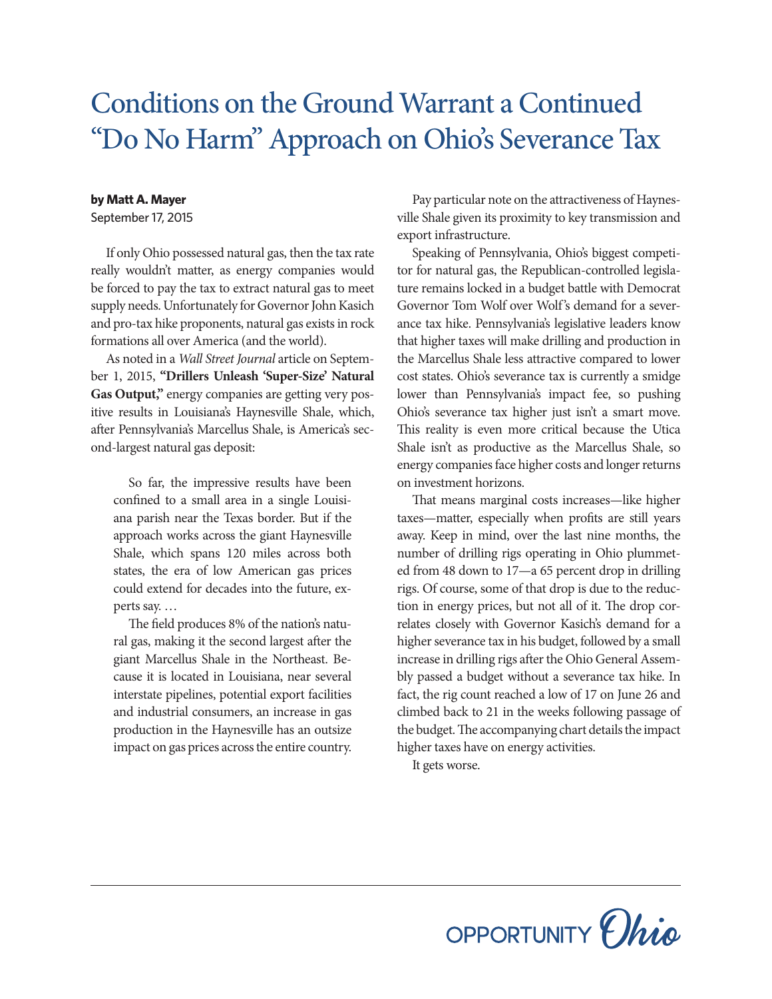## Conditions on the Ground Warrant a Continued "Do No Harm" Approach on Ohio's Severance Tax

## **by Matt A. Mayer**

September 17, 2015

If only Ohio possessed natural gas, then the tax rate really wouldn't matter, as energy companies would be forced to pay the tax to extract natural gas to meet supply needs. Unfortunately for Governor John Kasich and pro-tax hike proponents, natural gas exists in rock formations all over America (and the world).

As noted in a *Wall Street Journal* article on September 1, 2015, **"Drillers Unleash 'Super-Size' Natural Gas Output,"** energy companies are getting very positive results in Louisiana's Haynesville Shale, which, after Pennsylvania's Marcellus Shale, is America's second-largest natural gas deposit:

So far, the impressive results have been confined to a small area in a single Louisiana parish near the Texas border. But if the approach works across the giant Haynesville Shale, which spans 120 miles across both states, the era of low American gas prices could extend for decades into the future, experts say. …

The field produces 8% of the nation's natural gas, making it the second largest after the giant Marcellus Shale in the Northeast. Because it is located in Louisiana, near several interstate pipelines, potential export facilities and industrial consumers, an increase in gas production in the Haynesville has an outsize impact on gas prices across the entire country.

Pay particular note on the attractiveness of Haynesville Shale given its proximity to key transmission and export infrastructure.

Speaking of Pennsylvania, Ohio's biggest competitor for natural gas, the Republican-controlled legislature remains locked in a budget battle with Democrat Governor Tom Wolf over Wolf's demand for a severance tax hike. Pennsylvania's legislative leaders know that higher taxes will make drilling and production in the Marcellus Shale less attractive compared to lower cost states. Ohio's severance tax is currently a smidge lower than Pennsylvania's impact fee, so pushing Ohio's severance tax higher just isn't a smart move. This reality is even more critical because the Utica Shale isn't as productive as the Marcellus Shale, so energy companies face higher costs and longer returns on investment horizons.

That means marginal costs increases—like higher taxes—matter, especially when profits are still years away. Keep in mind, over the last nine months, the number of drilling rigs operating in Ohio plummeted from 48 down to 17—a 65 percent drop in drilling rigs. Of course, some of that drop is due to the reduction in energy prices, but not all of it. The drop correlates closely with Governor Kasich's demand for a higher severance tax in his budget, followed by a small increase in drilling rigs after the Ohio General Assembly passed a budget without a severance tax hike. In fact, the rig count reached a low of 17 on June 26 and climbed back to 21 in the weeks following passage of the budget. The accompanying chart details the impact higher taxes have on energy activities.

It gets worse.